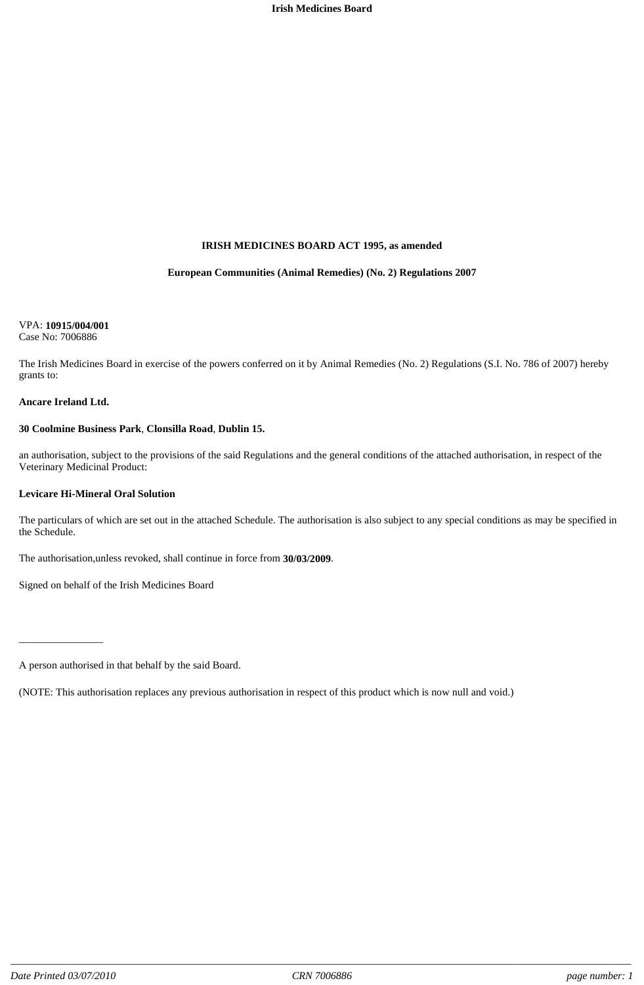#### **IRISH MEDICINES BOARD ACT 1995, as amended**

#### **European Communities (Animal Remedies) (No. 2) Regulations 2007**

#### VPA: **10915/004/001** Case No: 7006886

The Irish Medicines Board in exercise of the powers conferred on it by Animal Remedies (No. 2) Regulations (S.I. No. 786 of 2007) hereby grants to:

#### **Ancare Ireland Ltd.**

\_\_\_\_\_\_\_\_\_\_\_\_\_\_\_\_

#### **30 Coolmine Business Park**, **Clonsilla Road**, **Dublin 15.**

an authorisation, subject to the provisions of the said Regulations and the general conditions of the attached authorisation, in respect of the Veterinary Medicinal Product:

#### **Levicare Hi-Mineral Oral Solution**

The particulars of which are set out in the attached Schedule. The authorisation is also subject to any special conditions as may be specified in the Schedule.

The authorisation,unless revoked, shall continue in force from **30/03/2009**.

Signed on behalf of the Irish Medicines Board

A person authorised in that behalf by the said Board.

<sup>(</sup>NOTE: This authorisation replaces any previous authorisation in respect of this product which is now null and void.)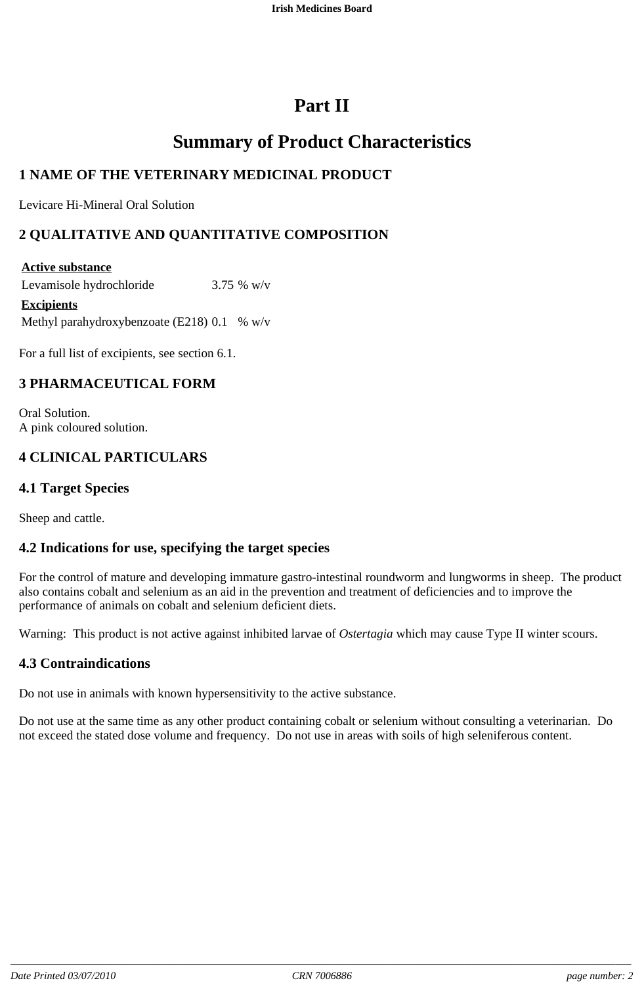# **Part II**

# **Summary of Product Characteristics**

# **1 NAME OF THE VETERINARY MEDICINAL PRODUCT**

Levicare Hi-Mineral Oral Solution

# **2 QUALITATIVE AND QUANTITATIVE COMPOSITION**

#### **Active substance**

Levamisole hydrochloride 3.75 % w/v **Excipients**

Methyl parahydroxybenzoate (E218)  $0.1\%$  w/v

For a full list of excipients, see section 6.1.

# **3 PHARMACEUTICAL FORM**

Oral Solution. A pink coloured solution.

# **4 CLINICAL PARTICULARS**

### **4.1 Target Species**

Sheep and cattle.

#### **4.2 Indications for use, specifying the target species**

For the control of mature and developing immature gastro-intestinal roundworm and lungworms in sheep. The product also contains cobalt and selenium as an aid in the prevention and treatment of deficiencies and to improve the performance of animals on cobalt and selenium deficient diets.

Warning: This product is not active against inhibited larvae of *Ostertagia* which may cause Type II winter scours.

# **4.3 Contraindications**

Do not use in animals with known hypersensitivity to the active substance.

Do not use at the same time as any other product containing cobalt or selenium without consulting a veterinarian. Do not exceed the stated dose volume and frequency. Do not use in areas with soils of high seleniferous content.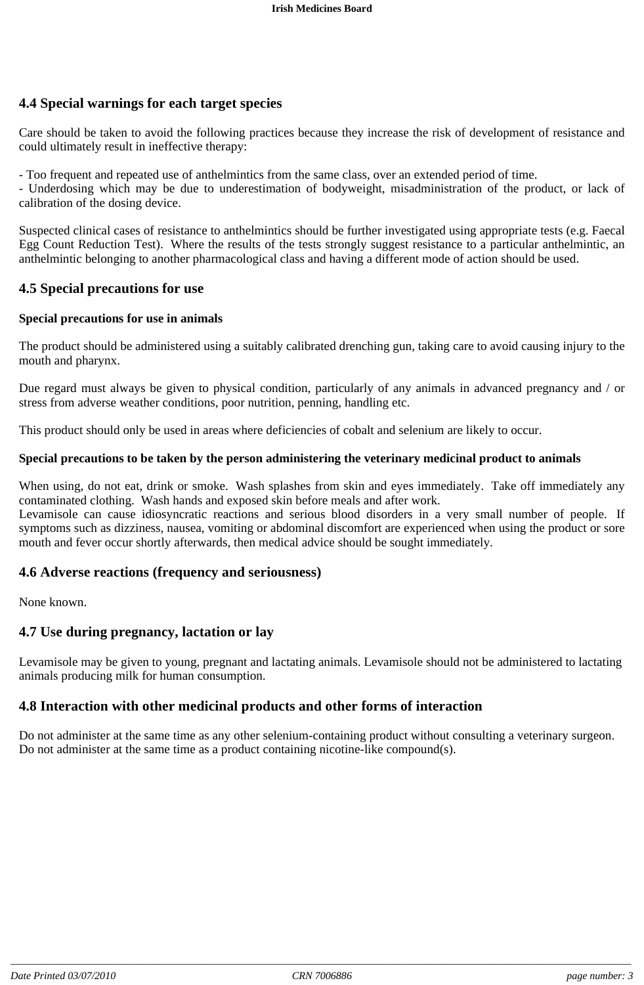# **4.4 Special warnings for each target species**

Care should be taken to avoid the following practices because they increase the risk of development of resistance and could ultimately result in ineffective therapy:

- Too frequent and repeated use of anthelmintics from the same class, over an extended period of time.

- Underdosing which may be due to underestimation of bodyweight, misadministration of the product, or lack of calibration of the dosing device.

Suspected clinical cases of resistance to anthelmintics should be further investigated using appropriate tests (e.g. Faecal Egg Count Reduction Test). Where the results of the tests strongly suggest resistance to a particular anthelmintic, an anthelmintic belonging to another pharmacological class and having a different mode of action should be used.

## **4.5 Special precautions for use**

#### **Special precautions for use in animals**

The product should be administered using a suitably calibrated drenching gun, taking care to avoid causing injury to the mouth and pharynx.

Due regard must always be given to physical condition, particularly of any animals in advanced pregnancy and / or stress from adverse weather conditions, poor nutrition, penning, handling etc.

This product should only be used in areas where deficiencies of cobalt and selenium are likely to occur.

#### **Special precautions to be taken by the person administering the veterinary medicinal product to animals**

When using, do not eat, drink or smoke. Wash splashes from skin and eyes immediately. Take off immediately any contaminated clothing. Wash hands and exposed skin before meals and after work.

Levamisole can cause idiosyncratic reactions and serious blood disorders in a very small number of people. If symptoms such as dizziness, nausea, vomiting or abdominal discomfort are experienced when using the product or sore mouth and fever occur shortly afterwards, then medical advice should be sought immediately.

#### **4.6 Adverse reactions (frequency and seriousness)**

None known.

#### **4.7 Use during pregnancy, lactation or lay**

Levamisole may be given to young, pregnant and lactating animals. Levamisole should not be administered to lactating animals producing milk for human consumption.

#### **4.8 Interaction with other medicinal products and other forms of interaction**

Do not administer at the same time as any other selenium-containing product without consulting a veterinary surgeon. Do not administer at the same time as a product containing nicotine-like compound(s).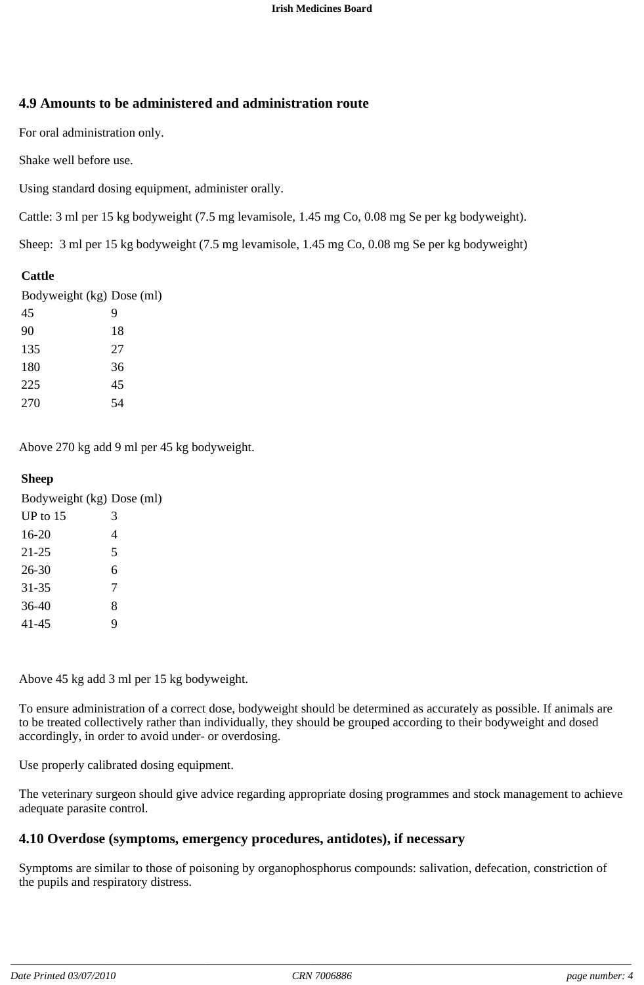# **4.9 Amounts to be administered and administration route**

For oral administration only.

Shake well before use.

Using standard dosing equipment, administer orally.

Cattle: 3 ml per 15 kg bodyweight (7.5 mg levamisole, 1.45 mg Co, 0.08 mg Se per kg bodyweight).

Sheep: 3 ml per 15 kg bodyweight (7.5 mg levamisole, 1.45 mg Co, 0.08 mg Se per kg bodyweight)

## **Cattle**

| Bodyweight (kg) Dose (ml) |    |
|---------------------------|----|
| 45                        | 9  |
| 90                        | 18 |
| 135                       | 27 |
| 180                       | 36 |
| 225                       | 45 |
| 270                       | 54 |

Above 270 kg add 9 ml per 45 kg bodyweight.

# **Sheep**

| Bodyweight (kg) Dose (ml) |   |
|---------------------------|---|
| UP to $15$                | 3 |
| 16-20                     | 4 |
| 21-25                     | 5 |
| 26-30                     | 6 |
| $31 - 35$                 | 7 |
| $36-40$                   | 8 |
| 41-45                     | q |

Above 45 kg add 3 ml per 15 kg bodyweight.

To ensure administration of a correct dose, bodyweight should be determined as accurately as possible. If animals are to be treated collectively rather than individually, they should be grouped according to their bodyweight and dosed accordingly, in order to avoid under- or overdosing.

Use properly calibrated dosing equipment.

The veterinary surgeon should give advice regarding appropriate dosing programmes and stock management to achieve adequate parasite control.

# **4.10 Overdose (symptoms, emergency procedures, antidotes), if necessary**

Symptoms are similar to those of poisoning by organophosphorus compounds: salivation, defecation, constriction of the pupils and respiratory distress.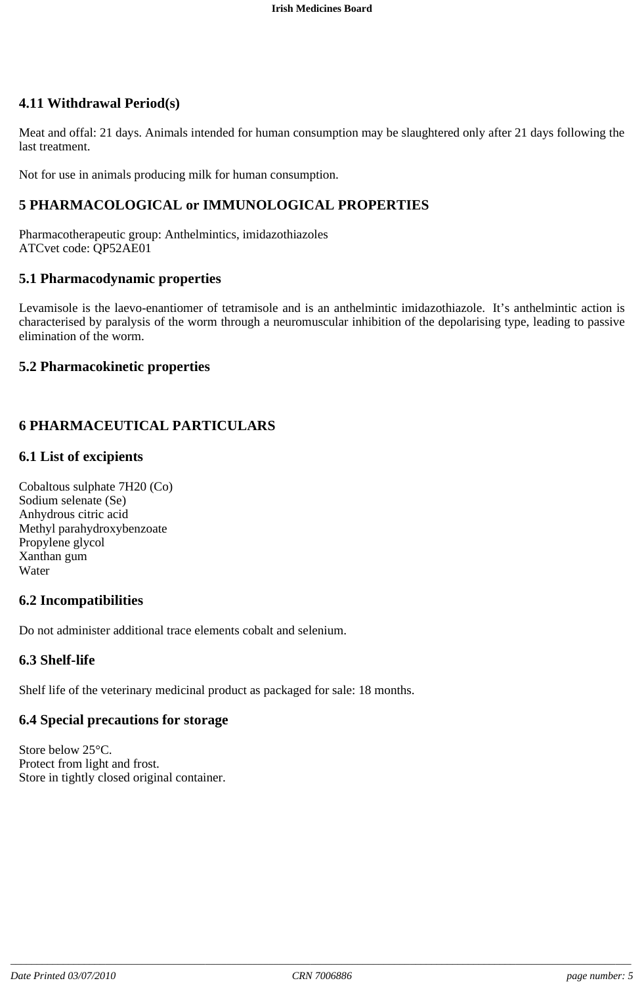# **4.11 Withdrawal Period(s)**

Meat and offal: 21 days. Animals intended for human consumption may be slaughtered only after 21 days following the last treatment.

Not for use in animals producing milk for human consumption.

### **5 PHARMACOLOGICAL or IMMUNOLOGICAL PROPERTIES**

Pharmacotherapeutic group: Anthelmintics, imidazothiazoles ATCvet code: QP52AE01

#### **5.1 Pharmacodynamic properties**

Levamisole is the laevo-enantiomer of tetramisole and is an anthelmintic imidazothiazole. It's anthelmintic action is characterised by paralysis of the worm through a neuromuscular inhibition of the depolarising type, leading to passive elimination of the worm.

#### **5.2 Pharmacokinetic properties**

## **6 PHARMACEUTICAL PARTICULARS**

#### **6.1 List of excipients**

Cobaltous sulphate 7H20 (Co) Sodium selenate (Se) Anhydrous citric acid Methyl parahydroxybenzoate Propylene glycol Xanthan gum Water

#### **6.2 Incompatibilities**

Do not administer additional trace elements cobalt and selenium.

#### **6.3 Shelf-life**

Shelf life of the veterinary medicinal product as packaged for sale: 18 months.

#### **6.4 Special precautions for storage**

Store below 25°C. Protect from light and frost. Store in tightly closed original container.